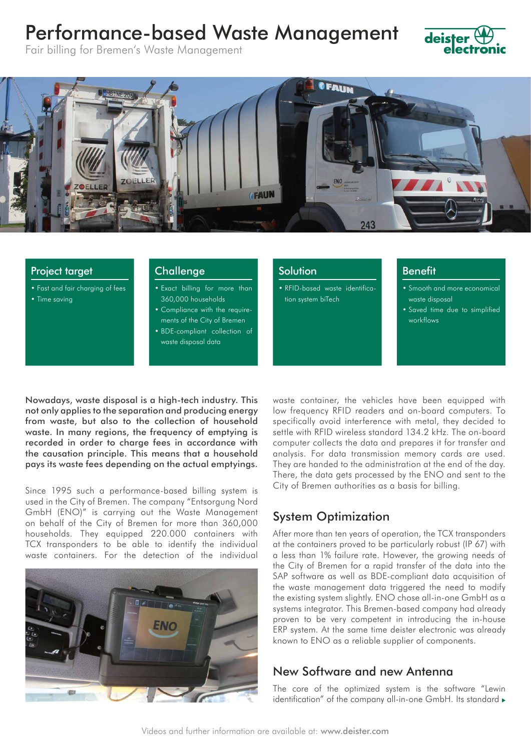# Performance-based Waste Management



Fair billing for Bremen's Waste Management



#### Project target

- Fast and fair charging of fees
- Time saving

#### **Challenge**

- Exact billing for more than 360,000 households
- Compliance with the requirements of the City of Bremen
- BDE-compliant collection of waste disposal data

Solution

• RFID-based waste identification system biTech

#### Benefit

• Smooth and more economical waste disposal

• Saved time due to simplified workflows

Nowadays, waste disposal is a high-tech industry. This not only applies to the separation and producing energy from waste, but also to the collection of household waste. In many regions, the frequency of emptying is recorded in order to charge fees in accordance with the causation principle. This means that a household pays its waste fees depending on the actual emptyings.

Since 1995 such a performance-based billing system is used in the City of Bremen. The company "Entsorgung Nord GmbH (ENO)" is carrying out the Waste Management on behalf of the City of Bremen for more than 360,000 households. They equipped 220.000 containers with TCX transponders to be able to identify the individual waste containers. For the detection of the individual



waste container, the vehicles have been equipped with low frequency RFID readers and on-board computers. To specifically avoid interference with metal, they decided to settle with RFID wireless standard 134.2 kHz. The on-board computer collects the data and prepares it for transfer and analysis. For data transmission memory cards are used. They are handed to the administration at the end of the day. There, the data gets processed by the ENO and sent to the City of Bremen authorities as a basis for billing.

## System Optimization

After more than ten years of operation, the TCX transponders at the containers proved to be particularly robust (IP 67) with a less than 1% failure rate. However, the growing needs of the City of Bremen for a rapid transfer of the data into the SAP software as well as BDE-compliant data acquisition of the waste management data triggered the need to modify the existing system slightly. ENO chose all-in-one GmbH as a systems integrator. This Bremen-based company had already proven to be very competent in introducing the in-house ERP system. At the same time deister electronic was already known to ENO as a reliable supplier of components.

## New Software and new Antenna

The core of the optimized system is the software "Lewin identification" of the company all-in-one GmbH. Its standard  $\blacktriangleright$